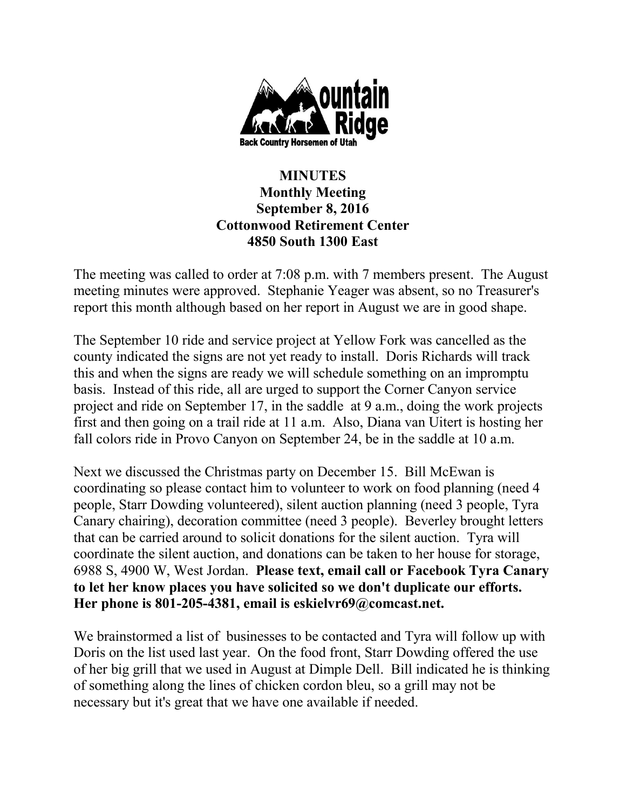

## **MINUTES Monthly Meeting September 8, 2016 Cottonwood Retirement Center 4850 South 1300 East**

The meeting was called to order at 7:08 p.m. with 7 members present. The August meeting minutes were approved. Stephanie Yeager was absent, so no Treasurer's report this month although based on her report in August we are in good shape.

The September 10 ride and service project at Yellow Fork was cancelled as the county indicated the signs are not yet ready to install. Doris Richards will track this and when the signs are ready we will schedule something on an impromptu basis. Instead of this ride, all are urged to support the Corner Canyon service project and ride on September 17, in the saddle at 9 a.m., doing the work projects first and then going on a trail ride at 11 a.m. Also, Diana van Uitert is hosting her fall colors ride in Provo Canyon on September 24, be in the saddle at 10 a.m.

Next we discussed the Christmas party on December 15. Bill McEwan is coordinating so please contact him to volunteer to work on food planning (need 4 people, Starr Dowding volunteered), silent auction planning (need 3 people, Tyra Canary chairing), decoration committee (need 3 people). Beverley brought letters that can be carried around to solicit donations for the silent auction. Tyra will coordinate the silent auction, and donations can be taken to her house for storage, 6988 S, 4900 W, West Jordan. **Please text, email call or Facebook Tyra Canary to let her know places you have solicited so we don't duplicate our efforts. Her phone is 801-205-4381, email is eskielvr69@comcast.net.**

We brainstormed a list of businesses to be contacted and Tyra will follow up with Doris on the list used last year. On the food front, Starr Dowding offered the use of her big grill that we used in August at Dimple Dell. Bill indicated he is thinking of something along the lines of chicken cordon bleu, so a grill may not be necessary but it's great that we have one available if needed.